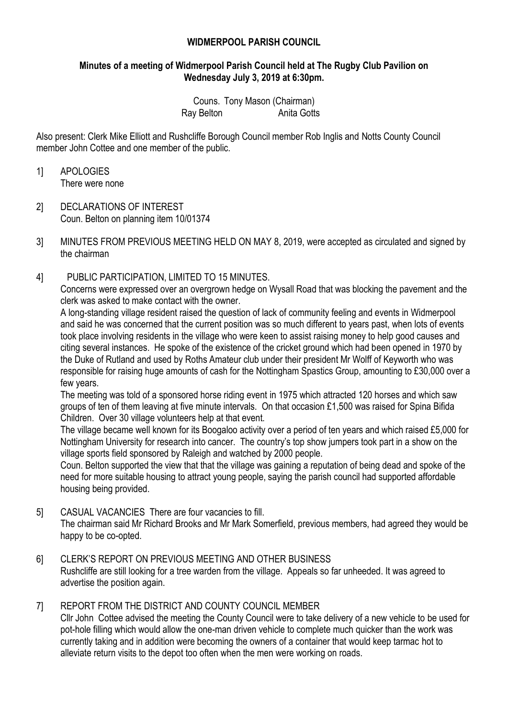### **WIDMERPOOL PARISH COUNCIL**

### **Minutes of a meeting of Widmerpool Parish Council held at The Rugby Club Pavilion on Wednesday July 3, 2019 at 6:30pm.**

Couns. Tony Mason (Chairman) Ray Belton **Anita Gotts** 

Also present: Clerk Mike Elliott and Rushcliffe Borough Council member Rob Inglis and Notts County Council member John Cottee and one member of the public.

- 1] APOLOGIES There were none
- 2] DECLARATIONS OF INTEREST Coun. Belton on planning item 10/01374
- 3] MINUTES FROM PREVIOUS MEETING HELD ON MAY 8, 2019, were accepted as circulated and signed by the chairman
- 4] PUBLIC PARTICIPATION, LIMITED TO 15 MINUTES.

Concerns were expressed over an overgrown hedge on Wysall Road that was blocking the pavement and the clerk was asked to make contact with the owner.

A long-standing village resident raised the question of lack of community feeling and events in Widmerpool and said he was concerned that the current position was so much different to years past, when lots of events took place involving residents in the village who were keen to assist raising money to help good causes and citing several instances. He spoke of the existence of the cricket ground which had been opened in 1970 by the Duke of Rutland and used by Roths Amateur club under their president Mr Wolff of Keyworth who was responsible for raising huge amounts of cash for the Nottingham Spastics Group, amounting to £30,000 over a few years.

The meeting was told of a sponsored horse riding event in 1975 which attracted 120 horses and which saw groups of ten of them leaving at five minute intervals. On that occasion £1,500 was raised for Spina Bifida Children. Over 30 village volunteers help at that event.

The village became well known for its Boogaloo activity over a period of ten years and which raised £5,000 for Nottingham University for research into cancer. The country's top show jumpers took part in a show on the village sports field sponsored by Raleigh and watched by 2000 people.

Coun. Belton supported the view that that the village was gaining a reputation of being dead and spoke of the need for more suitable housing to attract young people, saying the parish council had supported affordable housing being provided.

5] CASUAL VACANCIES There are four vacancies to fill.

The chairman said Mr Richard Brooks and Mr Mark Somerfield, previous members, had agreed they would be happy to be co-opted.

- 6] CLERK'S REPORT ON PREVIOUS MEETING AND OTHER BUSINESS Rushcliffe are still looking for a tree warden from the village. Appeals so far unheeded. It was agreed to advertise the position again.
- 7] REPORT FROM THE DISTRICT AND COUNTY COUNCIL MEMBER

Cllr John Cottee advised the meeting the County Council were to take delivery of a new vehicle to be used for pot-hole filling which would allow the one-man driven vehicle to complete much quicker than the work was currently taking and in addition were becoming the owners of a container that would keep tarmac hot to alleviate return visits to the depot too often when the men were working on roads.